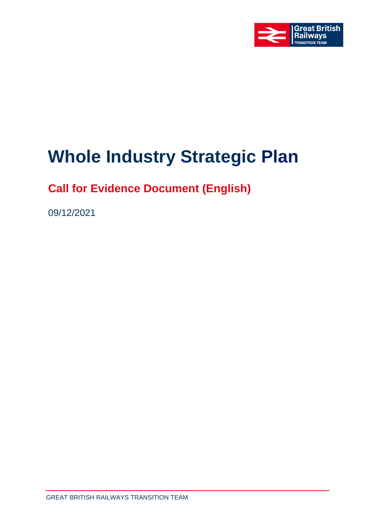

# **Whole Industry Strategic Plan**

## **Call for Evidence Document (English)**

09/12/2021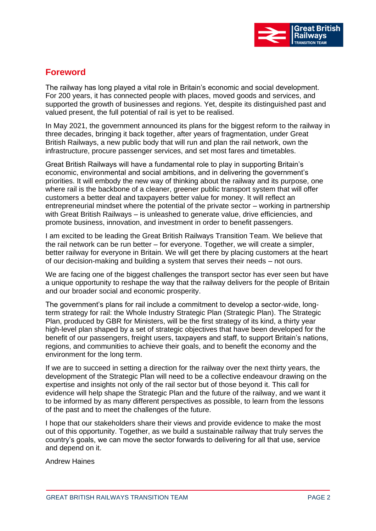

## **Foreword**

The railway has long played a vital role in Britain's economic and social development. For 200 years, it has connected people with places, moved goods and services, and supported the growth of businesses and regions. Yet, despite its distinguished past and valued present, the full potential of rail is yet to be realised.

In May 2021, the government announced its plans for the biggest reform to the railway in three decades, bringing it back together, after years of fragmentation, under Great British Railways, a new public body that will run and plan the rail network, own the infrastructure, procure passenger services, and set most fares and timetables.

Great British Railways will have a fundamental role to play in supporting Britain's economic, environmental and social ambitions, and in delivering the government's priorities. It will embody the new way of thinking about the railway and its purpose, one where rail is the backbone of a cleaner, greener public transport system that will offer customers a better deal and taxpayers better value for money. It will reflect an entrepreneurial mindset where the potential of the private sector – working in partnership with Great British Railways – is unleashed to generate value, drive efficiencies, and promote business, innovation, and investment in order to benefit passengers.

I am excited to be leading the Great British Railways Transition Team. We believe that the rail network can be run better – for everyone. Together, we will create a simpler, better railway for everyone in Britain. We will get there by placing customers at the heart of our decision-making and building a system that serves their needs – not ours.

We are facing one of the biggest challenges the transport sector has ever seen but have a unique opportunity to reshape the way that the railway delivers for the people of Britain and our broader social and economic prosperity.

The government's plans for rail include a commitment to develop a sector-wide, longterm strategy for rail: the Whole Industry Strategic Plan (Strategic Plan). The Strategic Plan, produced by GBR for Ministers, will be the first strategy of its kind, a thirty year high-level plan shaped by a set of strategic objectives that have been developed for the benefit of our passengers, freight users, taxpayers and staff, to support Britain's nations, regions, and communities to achieve their goals, and to benefit the economy and the environment for the long term.

If we are to succeed in setting a direction for the railway over the next thirty years, the development of the Strategic Plan will need to be a collective endeavour drawing on the expertise and insights not only of the rail sector but of those beyond it. This call for evidence will help shape the Strategic Plan and the future of the railway, and we want it to be informed by as many different perspectives as possible, to learn from the lessons of the past and to meet the challenges of the future.

I hope that our stakeholders share their views and provide evidence to make the most out of this opportunity. Together, as we build a sustainable railway that truly serves the country's goals, we can move the sector forwards to delivering for all that use, service and depend on it.

Andrew Haines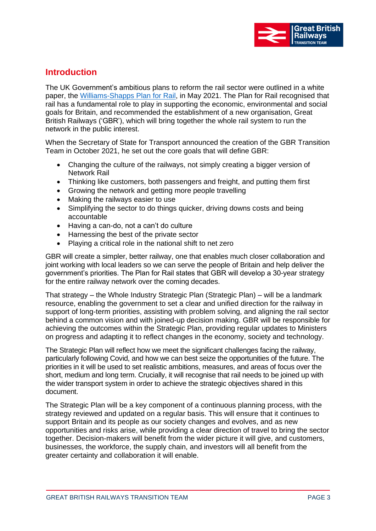

### **Introduction**

The UK Government's ambitious plans to reform the rail sector were outlined in a white paper, the [Williams-Shapps Plan for Rail,](https://www.gov.uk/government/publications/great-british-railways-williams-shapps-plan-for-rail) in May 2021. The Plan for Rail recognised that rail has a fundamental role to play in supporting the economic, environmental and social goals for Britain, and recommended the establishment of a new organisation, Great British Railways ('GBR'), which will bring together the whole rail system to run the network in the public interest.

When the Secretary of State for Transport announced the creation of the GBR Transition Team in October 2021, he set out the core goals that will define GBR:

- Changing the culture of the railways, not simply creating a bigger version of Network Rail
- Thinking like customers, both passengers and freight, and putting them first
- Growing the network and getting more people travelling
- Making the railways easier to use
- Simplifying the sector to do things quicker, driving downs costs and being accountable
- Having a can-do, not a can't do culture
- Harnessing the best of the private sector
- Playing a critical role in the national shift to net zero

GBR will create a simpler, better railway, one that enables much closer collaboration and joint working with local leaders so we can serve the people of Britain and help deliver the government's priorities. The Plan for Rail states that GBR will develop a 30-year strategy for the entire railway network over the coming decades.

That strategy – the Whole Industry Strategic Plan (Strategic Plan) – will be a landmark resource, enabling the government to set a clear and unified direction for the railway in support of long-term priorities, assisting with problem solving, and aligning the rail sector behind a common vision and with joined-up decision making. GBR will be responsible for achieving the outcomes within the Strategic Plan, providing regular updates to Ministers on progress and adapting it to reflect changes in the economy, society and technology.

The Strategic Plan will reflect how we meet the significant challenges facing the railway, particularly following Covid, and how we can best seize the opportunities of the future. The priorities in it will be used to set realistic ambitions, measures, and areas of focus over the short, medium and long term. Crucially, it will recognise that rail needs to be joined up with the wider transport system in order to achieve the strategic objectives shared in this document.

The Strategic Plan will be a key component of a continuous planning process, with the strategy reviewed and updated on a regular basis. This will ensure that it continues to support Britain and its people as our society changes and evolves, and as new opportunities and risks arise, while providing a clear direction of travel to bring the sector together. Decision-makers will benefit from the wider picture it will give, and customers, businesses, the workforce, the supply chain, and investors will all benefit from the greater certainty and collaboration it will enable.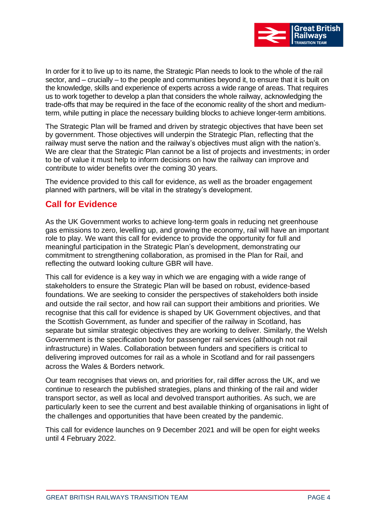

In order for it to live up to its name, the Strategic Plan needs to look to the whole of the rail sector, and – crucially – to the people and communities beyond it, to ensure that it is built on the knowledge, skills and experience of experts across a wide range of areas. That requires us to work together to develop a plan that considers the whole railway, acknowledging the trade-offs that may be required in the face of the economic reality of the short and mediumterm, while putting in place the necessary building blocks to achieve longer-term ambitions.

The Strategic Plan will be framed and driven by strategic objectives that have been set by government. Those objectives will underpin the Strategic Plan, reflecting that the railway must serve the nation and the railway's objectives must align with the nation's. We are clear that the Strategic Plan cannot be a list of projects and investments; in order to be of value it must help to inform decisions on how the railway can improve and contribute to wider benefits over the coming 30 years.

The evidence provided to this call for evidence, as well as the broader engagement planned with partners, will be vital in the strategy's development.

#### **Call for Evidence**

As the UK Government works to achieve long-term goals in reducing net greenhouse gas emissions to zero, levelling up, and growing the economy, rail will have an important role to play. We want this call for evidence to provide the opportunity for full and meaningful participation in the Strategic Plan's development, demonstrating our commitment to strengthening collaboration, as promised in the Plan for Rail, and reflecting the outward looking culture GBR will have.

This call for evidence is a key way in which we are engaging with a wide range of stakeholders to ensure the Strategic Plan will be based on robust, evidence-based foundations. We are seeking to consider the perspectives of stakeholders both inside and outside the rail sector, and how rail can support their ambitions and priorities. We recognise that this call for evidence is shaped by UK Government objectives, and that the Scottish Government, as funder and specifier of the railway in Scotland, has separate but similar strategic objectives they are working to deliver. Similarly, the Welsh Government is the specification body for passenger rail services (although not rail infrastructure) in Wales. Collaboration between funders and specifiers is critical to delivering improved outcomes for rail as a whole in Scotland and for rail passengers across the Wales & Borders network.

Our team recognises that views on, and priorities for, rail differ across the UK, and we continue to research the published strategies, plans and thinking of the rail and wider transport sector, as well as local and devolved transport authorities. As such, we are particularly keen to see the current and best available thinking of organisations in light of the challenges and opportunities that have been created by the pandemic.

This call for evidence launches on 9 December 2021 and will be open for eight weeks until 4 February 2022.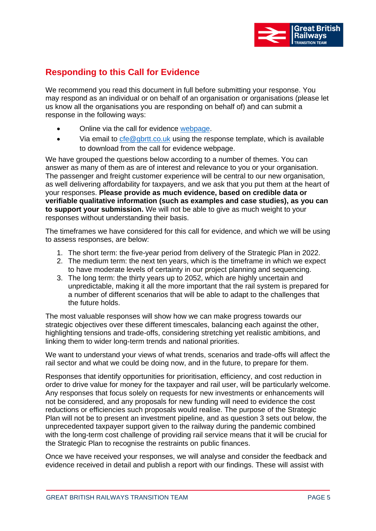

## **Responding to this Call for Evidence**

We recommend you read this document in full before submitting your response. You may respond as an individual or on behalf of an organisation or organisations (please let us know all the organisations you are responding on behalf of) and can submit a response in the following ways:

- Online via the call for evidence [webpage.](https://consultations.gbrtt.co.uk/wisp/whole-industry-strategic-plan-call-for-evidence)
- Via email to  $\text{cfe@gbrtt.co.uk}$  using the response template, which is available to download from the call for evidence webpage.

We have grouped the questions below according to a number of themes. You can answer as many of them as are of interest and relevance to you or your organisation. The passenger and freight customer experience will be central to our new organisation, as well delivering affordability for taxpayers, and we ask that you put them at the heart of your responses. **Please provide as much evidence, based on credible data or verifiable qualitative information (such as examples and case studies), as you can to support your submission.** We will not be able to give as much weight to your responses without understanding their basis.

The timeframes we have considered for this call for evidence, and which we will be using to assess responses, are below:

- 1. The short term: the five-year period from delivery of the Strategic Plan in 2022.
- 2. The medium term: the next ten years, which is the timeframe in which we expect to have moderate levels of certainty in our project planning and sequencing.
- 3. The long term: the thirty years up to 2052, which are highly uncertain and unpredictable, making it all the more important that the rail system is prepared for a number of different scenarios that will be able to adapt to the challenges that the future holds.

The most valuable responses will show how we can make progress towards our strategic objectives over these different timescales, balancing each against the other, highlighting tensions and trade-offs, considering stretching yet realistic ambitions, and linking them to wider long-term trends and national priorities.

We want to understand your views of what trends, scenarios and trade-offs will affect the rail sector and what we could be doing now, and in the future, to prepare for them.

Responses that identify opportunities for prioritisation, efficiency, and cost reduction in order to drive value for money for the taxpayer and rail user, will be particularly welcome. Any responses that focus solely on requests for new investments or enhancements will not be considered, and any proposals for new funding will need to evidence the cost reductions or efficiencies such proposals would realise. The purpose of the Strategic Plan will not be to present an investment pipeline, and as question 3 sets out below, the unprecedented taxpayer support given to the railway during the pandemic combined with the long-term cost challenge of providing rail service means that it will be crucial for the Strategic Plan to recognise the restraints on public finances.

Once we have received your responses, we will analyse and consider the feedback and evidence received in detail and publish a report with our findings. These will assist with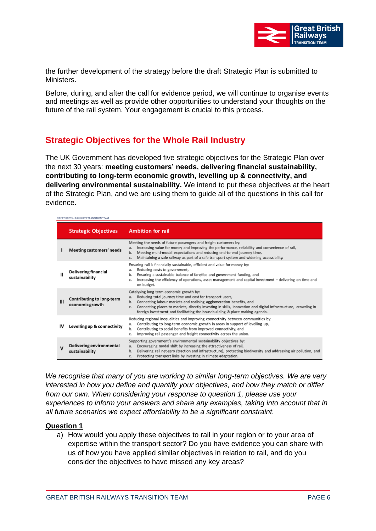

the further development of the strategy before the draft Strategic Plan is submitted to Ministers.

Before, during, and after the call for evidence period, we will continue to organise events and meetings as well as provide other opportunities to understand your thoughts on the future of the rail system. Your engagement is crucial to this process.

## **Strategic Objectives for the Whole Rail Industry**

The UK Government has developed five strategic objectives for the Strategic Plan over the next 30 years: **meeting customers' needs, delivering financial sustainability, contributing to long-term economic growth, levelling up & connectivity, and delivering environmental sustainability.** We intend to put these objectives at the heart of the Strategic Plan, and we are using them to guide all of the questions in this call for evidence.

| GREAT BRITISH RAILWAYS TRANSITION TEAM |                                                   |                                                                                                                                                                                                                                                                                                                                                                                                     |
|----------------------------------------|---------------------------------------------------|-----------------------------------------------------------------------------------------------------------------------------------------------------------------------------------------------------------------------------------------------------------------------------------------------------------------------------------------------------------------------------------------------------|
|                                        | <b>Strategic Objectives</b>                       | <b>Ambition for rail</b>                                                                                                                                                                                                                                                                                                                                                                            |
|                                        | <b>Meeting customers' needs</b>                   | Meeting the needs of future passengers and freight customers by:<br>Increasing value for money and improving the performance, reliability and convenience of rail,<br>a.<br>Meeting multi-modal expectations and reducing end-to-end journey time,<br>b.<br>Maintaining a safe railway as part of a safe transport system and widening accessibility.<br>C.                                         |
| Ш                                      | <b>Delivering financial</b><br>sustainability     | Ensuring rail is financially sustainable, efficient and value for money by:<br>Reducing costs to government,<br>а.<br>Ensuring a sustainable balance of fare/fee and government funding, and<br>b.<br>Increasing the efficiency of operations, asset management and capital investment - delivering on time and<br>c.<br>on budget.                                                                 |
| Ш                                      | Contributing to long-term<br>economic growth      | Catalysing long term economic growth by:<br>Reducing total journey time and cost for transport users,<br>a.<br>Connecting labour markets and realising agglomeration benefits, and<br>b.<br>Connecting places to markets, directly investing in skills, innovation and digital infrastructure, crowding-in<br>$C -$<br>foreign investment and facilitating the housebuilding & place-making agenda. |
| ιv                                     | Levelling up & connectivity                       | Reducing regional inequalities and improving connectivity between communities by:<br>Contributing to long-term economic growth in areas in support of levelling up,<br>а.<br>Contributing to social benefits from improved connectivity, and<br>b.<br>Improving rail passenger and freight connectivity across the union.<br>c.                                                                     |
| v                                      | <b>Delivering environmental</b><br>sustainability | Supporting government's environmental sustainability objectives by:<br>Encouraging modal shift by increasing the attractiveness of rail,<br>a.<br>Delivering rail net-zero (traction and infrastructure), protecting biodiversity and addressing air pollution, and<br>b.<br>Protecting transport links by investing in climate adaptation.<br>$C -$                                                |

*We recognise that many of you are working to similar long-term objectives. We are very interested in how you define and quantify your objectives, and how they match or differ from our own. When considering your response to question 1, please use your experiences to inform your answers and share any examples, taking into account that in all future scenarios we expect affordability to be a significant constraint.* 

#### **Question 1**

a) How would you apply these objectives to rail in your region or to your area of expertise within the transport sector? Do you have evidence you can share with us of how you have applied similar objectives in relation to rail, and do you consider the objectives to have missed any key areas?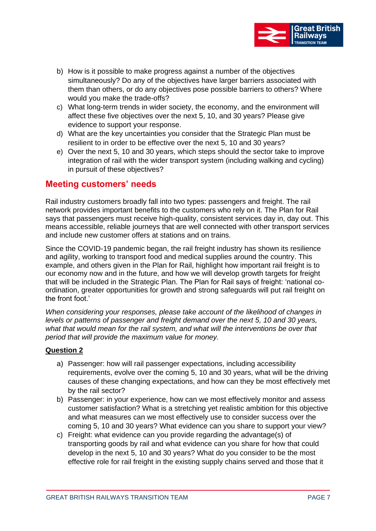

- b) How is it possible to make progress against a number of the objectives simultaneously? Do any of the objectives have larger barriers associated with them than others, or do any objectives pose possible barriers to others? Where would you make the trade-offs?
- c) What long-term trends in wider society, the economy, and the environment will affect these five objectives over the next 5, 10, and 30 years? Please give evidence to support your response.
- d) What are the key uncertainties you consider that the Strategic Plan must be resilient to in order to be effective over the next 5, 10 and 30 years?
- e) Over the next 5, 10 and 30 years, which steps should the sector take to improve integration of rail with the wider transport system (including walking and cycling) in pursuit of these objectives?

#### **Meeting customers' needs**

Rail industry customers broadly fall into two types: passengers and freight. The rail network provides important benefits to the customers who rely on it. The Plan for Rail says that passengers must receive high-quality, consistent services day in, day out. This means accessible, reliable journeys that are well connected with other transport services and include new customer offers at stations and on trains.

Since the COVID-19 pandemic began, the rail freight industry has shown its resilience and agility, working to transport food and medical supplies around the country. This example, and others given in the Plan for Rail, highlight how important rail freight is to our economy now and in the future, and how we will develop growth targets for freight that will be included in the Strategic Plan. The Plan for Rail says of freight: 'national coordination, greater opportunities for growth and strong safeguards will put rail freight on the front foot.'

*When considering your responses, please take account of the likelihood of changes in levels or patterns of passenger and freight demand over the next 5, 10 and 30 years, what that would mean for the rail system, and what will the interventions be over that period that will provide the maximum value for money.*

#### **Question 2**

- a) Passenger: how will rail passenger expectations, including accessibility requirements, evolve over the coming 5, 10 and 30 years, what will be the driving causes of these changing expectations, and how can they be most effectively met by the rail sector?
- b) Passenger: in your experience, how can we most effectively monitor and assess customer satisfaction? What is a stretching yet realistic ambition for this objective and what measures can we most effectively use to consider success over the coming 5, 10 and 30 years? What evidence can you share to support your view?
- c) Freight: what evidence can you provide regarding the advantage(s) of transporting goods by rail and what evidence can you share for how that could develop in the next 5, 10 and 30 years? What do you consider to be the most effective role for rail freight in the existing supply chains served and those that it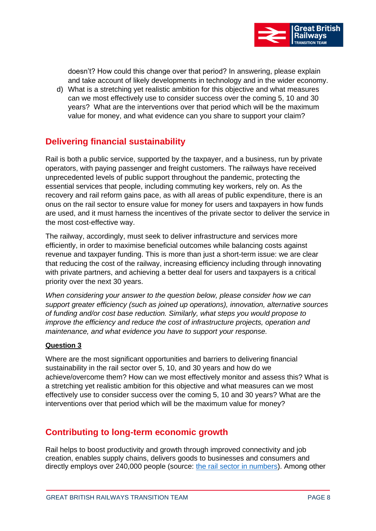

doesn't? How could this change over that period? In answering, please explain and take account of likely developments in technology and in the wider economy.

d) What is a stretching yet realistic ambition for this objective and what measures can we most effectively use to consider success over the coming 5, 10 and 30 years? What are the interventions over that period which will be the maximum value for money, and what evidence can you share to support your claim?

## **Delivering financial sustainability**

Rail is both a public service, supported by the taxpayer, and a business, run by private operators, with paying passenger and freight customers. The railways have received unprecedented levels of public support throughout the pandemic, protecting the essential services that people, including commuting key workers, rely on. As the recovery and rail reform gains pace, as with all areas of public expenditure, there is an onus on the rail sector to ensure value for money for users and taxpayers in how funds are used, and it must harness the incentives of the private sector to deliver the service in the most cost-effective way.

The railway, accordingly, must seek to deliver infrastructure and services more efficiently, in order to maximise beneficial outcomes while balancing costs against revenue and taxpayer funding. This is more than just a short-term issue: we are clear that reducing the cost of the railway, increasing efficiency including through innovating with private partners, and achieving a better deal for users and taxpayers is a critical priority over the next 30 years.

*When considering your answer to the question below, please consider how we can support greater efficiency (such as joined up operations), innovation, alternative sources of funding and/or cost base reduction. Similarly, what steps you would propose to improve the efficiency and reduce the cost of infrastructure projects, operation and maintenance, and what evidence you have to support your response.* 

#### **Question 3**

Where are the most significant opportunities and barriers to delivering financial sustainability in the rail sector over 5, 10, and 30 years and how do we achieve/overcome them? How can we most effectively monitor and assess this? What is a stretching yet realistic ambition for this objective and what measures can we most effectively use to consider success over the coming 5, 10 and 30 years? What are the interventions over that period which will be the maximum value for money?

#### **Contributing to long-term economic growth**

Rail helps to boost productivity and growth through improved connectivity and job creation, enables supply chains, delivers goods to businesses and consumers and directly employs over 240,000 people (source: [the rail sector in numbers\)](https://assets.publishing.service.gov.uk/government/uploads/system/uploads/attachment_data/file/787082/rail-sector-in-numbers.pdf). Among other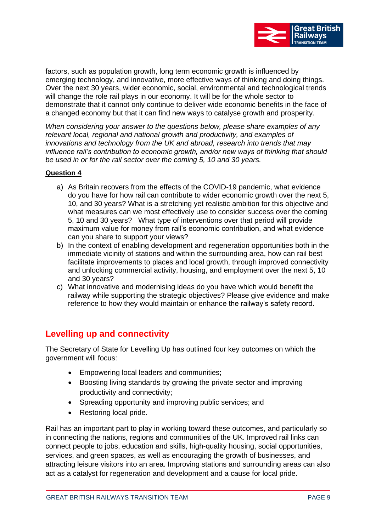

factors, such as population growth, long term economic growth is influenced by emerging technology, and innovative, more effective ways of thinking and doing things. Over the next 30 years, wider economic, social, environmental and technological trends will change the role rail plays in our economy. It will be for the whole sector to demonstrate that it cannot only continue to deliver wide economic benefits in the face of a changed economy but that it can find new ways to catalyse growth and prosperity.

*When considering your answer to the questions below, please share examples of any relevant local, regional and national growth and productivity, and examples of innovations and technology from the UK and abroad, research into trends that may influence rail's contribution to economic growth, and/or new ways of thinking that should be used in or for the rail sector over the coming 5, 10 and 30 years.*

#### **Question 4**

- a) As Britain recovers from the effects of the COVID-19 pandemic, what evidence do you have for how rail can contribute to wider economic growth over the next 5, 10, and 30 years? What is a stretching yet realistic ambition for this objective and what measures can we most effectively use to consider success over the coming 5, 10 and 30 years? What type of interventions over that period will provide maximum value for money from rail's economic contribution, and what evidence can you share to support your views?
- b) In the context of enabling development and regeneration opportunities both in the immediate vicinity of stations and within the surrounding area, how can rail best facilitate improvements to places and local growth, through improved connectivity and unlocking commercial activity, housing, and employment over the next 5, 10 and 30 years?
- c) What innovative and modernising ideas do you have which would benefit the railway while supporting the strategic objectives? Please give evidence and make reference to how they would maintain or enhance the railway's safety record.

#### **Levelling up and connectivity**

The Secretary of State for Levelling Up has outlined four key outcomes on which the government will focus:

- Empowering local leaders and communities;
- Boosting living standards by growing the private sector and improving productivity and connectivity;
- Spreading opportunity and improving public services; and
- Restoring local pride.

Rail has an important part to play in working toward these outcomes, and particularly so in connecting the nations, regions and communities of the UK. Improved rail links can connect people to jobs, education and skills, high-quality housing, social opportunities, services, and green spaces, as well as encouraging the growth of businesses, and attracting leisure visitors into an area. Improving stations and surrounding areas can also act as a catalyst for regeneration and development and a cause for local pride.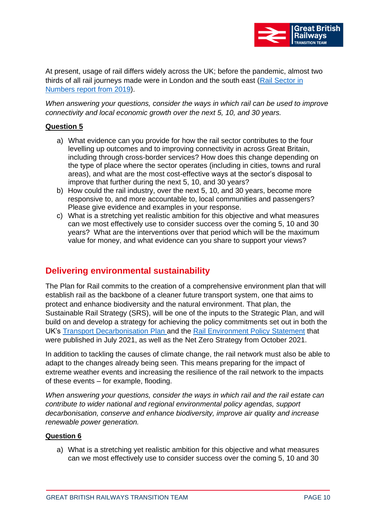

At present, usage of rail differs widely across the UK; before the pandemic, almost two thirds of all rail journeys made were in London and the south east [\(Rail Sector in](https://assets.publishing.service.gov.uk/government/uploads/system/uploads/attachment_data/file/787082/rail-sector-in-numbers.pdf)  [Numbers report](https://assets.publishing.service.gov.uk/government/uploads/system/uploads/attachment_data/file/787082/rail-sector-in-numbers.pdf) from 2019).

*When answering your questions, consider the ways in which rail can be used to improve connectivity and local economic growth over the next 5, 10, and 30 years.*

#### **Question 5**

- a) What evidence can you provide for how the rail sector contributes to the four levelling up outcomes and to improving connectivity in across Great Britain, including through cross-border services? How does this change depending on the type of place where the sector operates (including in cities, towns and rural areas), and what are the most cost-effective ways at the sector's disposal to improve that further during the next 5, 10, and 30 years?
- b) How could the rail industry, over the next 5, 10, and 30 years, become more responsive to, and more accountable to, local communities and passengers? Please give evidence and examples in your response.
- c) What is a stretching yet realistic ambition for this objective and what measures can we most effectively use to consider success over the coming 5, 10 and 30 years? What are the interventions over that period which will be the maximum value for money, and what evidence can you share to support your views?

## **Delivering environmental sustainability**

The Plan for Rail commits to the creation of a comprehensive environment plan that will establish rail as the backbone of a cleaner future transport system, one that aims to protect and enhance biodiversity and the natural environment. That plan, the Sustainable Rail Strategy (SRS), will be one of the inputs to the Strategic Plan, and will build on and develop a strategy for achieving the policy commitments set out in both the UK's [Transport Decarbonisation](https://assets.publishing.service.gov.uk/government/uploads/system/uploads/attachment_data/file/1009448/decarbonising-transport-a-better-greener-britain.pdf) Plan and the [Rail Environment Policy Statement](https://assets.publishing.service.gov.uk/government/uploads/system/uploads/attachment_data/file/1002166/rail-environment-policy-statement.pdf) that were published in July 2021, as well as the Net Zero Strategy from October 2021.

In addition to tackling the causes of climate change, the rail network must also be able to adapt to the changes already being seen. This means preparing for the impact of extreme weather events and increasing the resilience of the rail network to the impacts of these events – for example, flooding.

*When answering your questions, consider the ways in which rail and the rail estate can contribute to wider national and regional environmental policy agendas, support decarbonisation, conserve and enhance biodiversity, improve air quality and increase renewable power generation.*

#### **Question 6**

a) What is a stretching yet realistic ambition for this objective and what measures can we most effectively use to consider success over the coming 5, 10 and 30